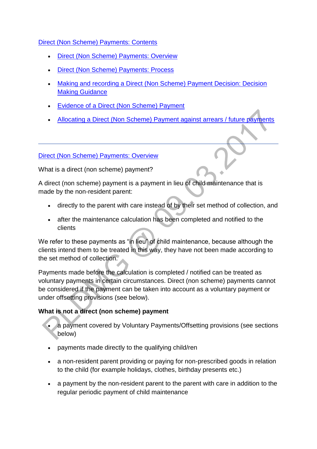## [Direct \(Non Scheme\) Payments: Contents](http://np-cmg-sharepoint.link2.gpn.gov.uk/sites/policy-law-and-decision-making-guidance/Pages/Direct%20non%20scheme%20payments/Direct-non-scheme-payments.aspx)

- [Direct \(Non Scheme\) Payments: Overview](http://np-cmg-sharepoint.link2.gpn.gov.uk/sites/policy-law-and-decision-making-guidance/Pages/Direct%20non%20scheme%20payments/Direct-non-scheme-payments.aspx#DNSPoverview)
- [Direct \(Non Scheme\) Payments: Process](http://np-cmg-sharepoint.link2.gpn.gov.uk/sites/policy-law-and-decision-making-guidance/Pages/Direct%20non%20scheme%20payments/Direct-non-scheme-payments.aspx#DNSPoverviewofdecisions)
- [Making and recording a Direct \(Non Scheme\) Payment Decision: Decision](http://np-cmg-sharepoint.link2.gpn.gov.uk/sites/policy-law-and-decision-making-guidance/Pages/Direct%20non%20scheme%20payments/Direct-non-scheme-payments.aspx#DNSPDMGMakingRecording)  [Making Guidance](http://np-cmg-sharepoint.link2.gpn.gov.uk/sites/policy-law-and-decision-making-guidance/Pages/Direct%20non%20scheme%20payments/Direct-non-scheme-payments.aspx#DNSPDMGMakingRecording)
- [Evidence of a Direct \(Non Scheme\) Payment](http://np-cmg-sharepoint.link2.gpn.gov.uk/sites/policy-law-and-decision-making-guidance/Pages/Direct%20non%20scheme%20payments/Direct-non-scheme-payments.aspx#DNSPDMGEvidence)
- [Allocating a Direct \(Non Scheme\) Payment against arrears / future payments](http://np-cmg-sharepoint.link2.gpn.gov.uk/sites/policy-law-and-decision-making-guidance/Pages/Direct%20non%20scheme%20payments/Direct-non-scheme-payments.aspx#DNSPDMGAllocating)

#### [Direct \(Non Scheme\) Payments: Overview](http://np-cmg-sharepoint.link2.gpn.gov.uk/sites/policy-law-and-decision-making-guidance/Pages/Direct%20non%20scheme%20payments/Direct-non-scheme-payments.aspx)

What is a direct (non scheme) payment?

A direct (non scheme) payment is a payment in lieu of child maintenance that is made by the non-resident parent:

- directly to the parent with care instead of by their set method of collection, and
- after the maintenance calculation has been completed and notified to the clients

We refer to these payments as "in lieu" of child maintenance, because although the clients intend them to be treated in this way, they have not been made according to the set method of collection.

Payments made before the calculation is completed / notified can be treated as voluntary payments in certain circumstances. Direct (non scheme) payments cannot be considered if the payment can be taken into account as a voluntary payment or under offsetting provisions (see below).

## **What is not a direct (non scheme) payment**

- a payment covered by Voluntary Payments/Offsetting provisions (see sections below)
- payments made directly to the qualifying child/ren
- a non-resident parent providing or paying for non-prescribed goods in relation to the child (for example holidays, clothes, birthday presents etc.)
- a payment by the non-resident parent to the parent with care in addition to the regular periodic payment of child maintenance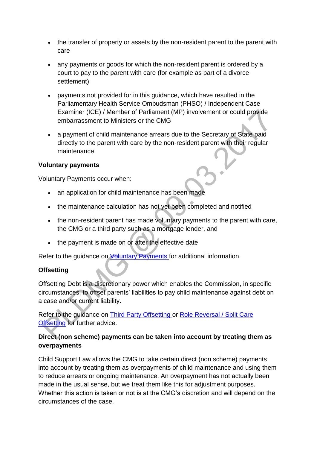- the transfer of property or assets by the non-resident parent to the parent with care
- any payments or goods for which the non-resident parent is ordered by a court to pay to the parent with care (for example as part of a divorce settlement)
- payments not provided for in this guidance, which have resulted in the Parliamentary Health Service Ombudsman (PHSO) / Independent Case Examiner (ICE) / Member of Parliament (MP) involvement or could provide embarrassment to Ministers or the CMG
- a payment of child maintenance arrears due to the Secretary of State paid directly to the parent with care by the non-resident parent with their regular maintenance

## **Voluntary payments**

Voluntary Payments occur when:

- an application for child maintenance has been made
- the maintenance calculation has not yet been completed and notified
- the non-resident parent has made voluntary payments to the parent with care, the CMG or a third party such as a mortgage lender, and
- the payment is made on or after the effective date

Refer to the quidance on [Voluntary Payments f](http://np-cmg-sharepoint.link2.gpn.gov.uk/sites/policy-law-and-decision-making-guidance/Pages/Voluntary%20Payments/Voluntary-Payments.aspx)or additional information.

## **Offsetting**

Offsetting Debt is a discretionary power which enables the Commission, in specific circumstances, to offset parents' liabilities to pay child maintenance against debt on a case and/or current liability.

Refer to the guidance on [Third Party Offsetting o](http://np-cmg-sharepoint.link2.gpn.gov.uk/sites/policy-law-and-decision-making-guidance/Pages/Offsetting/Offsetting---Third-party-payments.aspx)r Role [Reversal / Split Care](http://np-cmg-sharepoint.link2.gpn.gov.uk/sites/policy-law-and-decision-making-guidance/Pages/Role%20reversal%20and%20split%20care%20offsetting/Role-reversal-and-split-care-offsetting.aspx)  [Offsetting](http://np-cmg-sharepoint.link2.gpn.gov.uk/sites/policy-law-and-decision-making-guidance/Pages/Role%20reversal%20and%20split%20care%20offsetting/Role-reversal-and-split-care-offsetting.aspx) for further advice.

## **Direct (non scheme) payments can be taken into account by treating them as overpayments**

Child Support Law allows the CMG to take certain direct (non scheme) payments into account by treating them as overpayments of child maintenance and using them to reduce arrears or ongoing maintenance. An overpayment has not actually been made in the usual sense, but we treat them like this for adjustment purposes. Whether this action is taken or not is at the CMG's discretion and will depend on the circumstances of the case.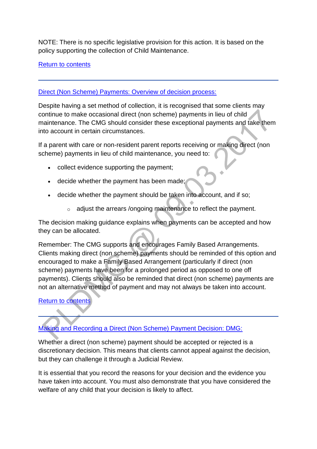NOTE: There is no specific legislative provision for this action. It is based on the policy supporting the collection of Child Maintenance.

#### [Return to contents](http://np-cmg-sharepoint.link2.gpn.gov.uk/sites/policy-law-and-decision-making-guidance/Pages/Direct%20non%20scheme%20payments/Direct-non-scheme-payments.aspx#%20Direct%20%28Non%20Scheme%29%20Payments%3a%20Contents)

#### [Direct \(Non Scheme\) Payments: Overview of decision process:](http://np-cmg-sharepoint.link2.gpn.gov.uk/sites/policy-law-and-decision-making-guidance/Pages/Direct%20non%20scheme%20payments/Direct-non-scheme-payments.aspx)

Despite having a set method of collection, it is recognised that some clients may continue to make occasional direct (non scheme) payments in lieu of child maintenance. The CMG should consider these exceptional payments and take them into account in certain circumstances.

If a parent with care or non-resident parent reports receiving or making direct (non scheme) payments in lieu of child maintenance, you need to:

- collect evidence supporting the payment;
- decide whether the payment has been made;
- decide whether the payment should be taken into account, and if so;
	- o adjust the arrears /ongoing maintenance to reflect the payment.

The decision making guidance explains when payments can be accepted and how they can be allocated.

Remember: The CMG supports and encourages Family Based Arrangements. Clients making direct (non scheme) payments should be reminded of this option and encouraged to make a Family Based Arrangement (particularly if direct (non scheme) payments have been for a prolonged period as opposed to one off payments). Clients should also be reminded that direct (non scheme) payments are not an alternative method of payment and may not always be taken into account.

## [Return to contents](http://np-cmg-sharepoint.link2.gpn.gov.uk/sites/policy-law-and-decision-making-guidance/Pages/Direct%20non%20scheme%20payments/Direct-non-scheme-payments.aspx#%20Direct%20%28Non%20Scheme%29%20Payments%3a%20Contents)

[Making and Recording a Direct \(Non Scheme\) Payment Decision: DMG:](http://np-cmg-sharepoint.link2.gpn.gov.uk/sites/policy-law-and-decision-making-guidance/Pages/Direct%20non%20scheme%20payments/Direct-non-scheme-payments.aspx) 

Whether a direct (non scheme) payment should be accepted or rejected is a discretionary decision. This means that clients cannot appeal against the decision, but they can challenge it through a Judicial Review.

It is essential that you record the reasons for your decision and the evidence you have taken into account. You must also demonstrate that you have considered the welfare of any child that your decision is likely to affect.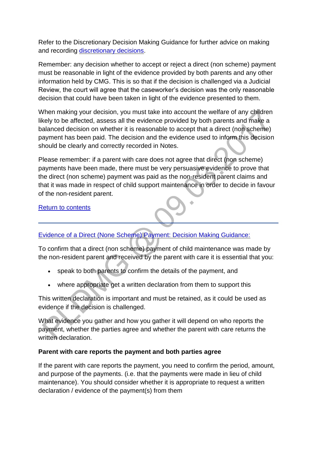Refer to the Discretionary Decision Making Guidance for further advice on making and recording [discretionary decisions.](http://np-cmg-sharepoint.link2.gpn.gov.uk/sites/policy-law-and-decision-making-guidance/Pages/Evidence%20and%20decision%20making/Evidence-and-decision-making.aspx)

Remember: any decision whether to accept or reject a direct (non scheme) payment must be reasonable in light of the evidence provided by both parents and any other information held by CMG. This is so that if the decision is challenged via a Judicial Review, the court will agree that the caseworker's decision was the only reasonable decision that could have been taken in light of the evidence presented to them.

When making your decision, you must take into account the welfare of any children likely to be affected, assess all the evidence provided by both parents and make a balanced decision on whether it is reasonable to accept that a direct (non scheme) payment has been paid. The decision and the evidence used to inform this decision should be clearly and correctly recorded in Notes.

Please remember: if a parent with care does not agree that direct (non scheme) payments have been made, there must be very persuasive evidence to prove that the direct (non scheme) payment was paid as the non-resident parent claims and that it was made in respect of child support maintenance in order to decide in favour of the non-resident parent.

[Return to contents](http://np-cmg-sharepoint.link2.gpn.gov.uk/sites/policy-law-and-decision-making-guidance/Pages/Direct%20non%20scheme%20payments/Direct-non-scheme-payments.aspx#%20Direct%20%28Non%20Scheme%29%20Payments%3a%20Contents)

# [Evidence of a Direct \(None Scheme\) Payment: Decision Making Guidance:](http://np-cmg-sharepoint.link2.gpn.gov.uk/sites/policy-law-and-decision-making-guidance/Pages/Direct%20non%20scheme%20payments/Direct-non-scheme-payments.aspx)

To confirm that a direct (non scheme) payment of child maintenance was made by the non-resident parent and received by the parent with care it is essential that you:

- speak to both parents to confirm the details of the payment, and
- where appropriate get a written declaration from them to support this

This written declaration is important and must be retained, as it could be used as evidence if the decision is challenged.

What evidence you gather and how you gather it will depend on who reports the payment, whether the parties agree and whether the parent with care returns the written declaration.

## **Parent with care reports the payment and both parties agree**

If the parent with care reports the payment, you need to confirm the period, amount, and purpose of the payments. (i.e. that the payments were made in lieu of child maintenance). You should consider whether it is appropriate to request a written declaration / evidence of the payment(s) from them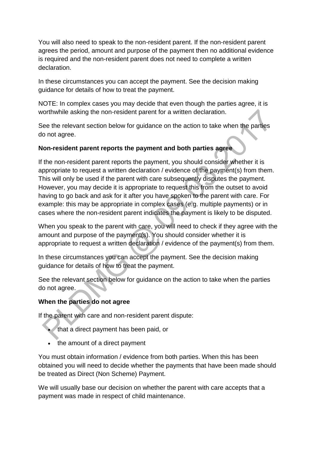You will also need to speak to the non-resident parent. If the non-resident parent agrees the period, amount and purpose of the payment then no additional evidence is required and the non-resident parent does not need to complete a written declaration.

In these circumstances you can accept the payment. See the decision making guidance for details of how to treat the payment.

NOTE: In complex cases you may decide that even though the parties agree, it is worthwhile asking the non-resident parent for a written declaration.

See the relevant section below for guidance on the action to take when the parties do not agree.

## **Non-resident parent reports the payment and both parties agree**

If the non-resident parent reports the payment, you should consider whether it is appropriate to request a written declaration / evidence of the payment(s) from them. This will only be used if the parent with care subsequently disputes the payment. However, you may decide it is appropriate to request this from the outset to avoid having to go back and ask for it after you have spoken to the parent with care. For example: this may be appropriate in complex cases (e.g. multiple payments) or in cases where the non-resident parent indicates the payment is likely to be disputed.

When you speak to the parent with care, you will need to check if they agree with the amount and purpose of the payment(s). You should consider whether it is appropriate to request a written declaration / evidence of the payment(s) from them.

In these circumstances you can accept the payment. See the decision making guidance for details of how to treat the payment.

See the relevant section below for guidance on the action to take when the parties do not agree.

# **When the parties do not agree**

If the parent with care and non-resident parent dispute:

- that a direct payment has been paid, or
- the amount of a direct payment

You must obtain information / evidence from both parties. When this has been obtained you will need to decide whether the payments that have been made should be treated as Direct (Non Scheme) Payment.

We will usually base our decision on whether the parent with care accepts that a payment was made in respect of child maintenance.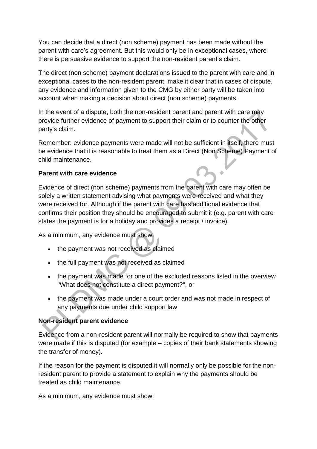You can decide that a direct (non scheme) payment has been made without the parent with care's agreement. But this would only be in exceptional cases, where there is persuasive evidence to support the non-resident parent's claim.

The direct (non scheme) payment declarations issued to the parent with care and in exceptional cases to the non-resident parent, make it clear that in cases of dispute, any evidence and information given to the CMG by either party will be taken into account when making a decision about direct (non scheme) payments.

In the event of a dispute, both the non-resident parent and parent with care may provide further evidence of payment to support their claim or to counter the other party's claim.

Remember: evidence payments were made will not be sufficient in itself, there must be evidence that it is reasonable to treat them as a Direct (Non Scheme) Payment of child maintenance.

## **Parent with care evidence**

Evidence of direct (non scheme) payments from the parent with care may often be solely a written statement advising what payments were received and what they were received for. Although if the parent with care has additional evidence that confirms their position they should be encouraged to submit it (e.g. parent with care states the payment is for a holiday and provides a receipt / invoice).

As a minimum, any evidence must show:

- the payment was not received as claimed
- the full payment was not received as claimed
- the payment was made for one of the excluded reasons listed in the overview ''What does not constitute a direct payment?'', or
- the payment was made under a court order and was not made in respect of any payments due under child support law

# **Non-resident parent evidence**

Evidence from a non-resident parent will normally be required to show that payments were made if this is disputed (for example – copies of their bank statements showing the transfer of money).

If the reason for the payment is disputed it will normally only be possible for the nonresident parent to provide a statement to explain why the payments should be treated as child maintenance.

As a minimum, any evidence must show: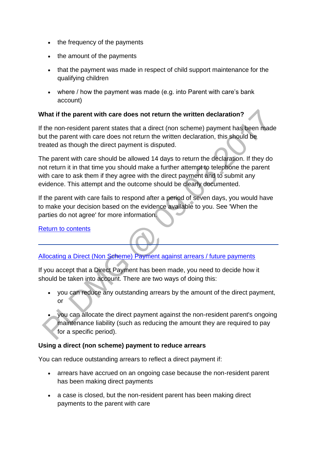- the frequency of the payments
- the amount of the payments
- that the payment was made in respect of child support maintenance for the qualifying children
- where / how the payment was made (e.g. into Parent with care's bank account)

#### **What if the parent with care does not return the written declaration?**

If the non-resident parent states that a direct (non scheme) payment has been made but the parent with care does not return the written declaration, this should be treated as though the direct payment is disputed.

The parent with care should be allowed 14 days to return the declaration. If they do not return it in that time you should make a further attempt to telephone the parent with care to ask them if they agree with the direct payment and to submit any evidence. This attempt and the outcome should be clearly documented.

If the parent with care fails to respond after a period of seven days, you would have to make your decision based on the evidence available to you. See 'When the parties do not agree' for more information.

#### [Return to contents](http://np-cmg-sharepoint.link2.gpn.gov.uk/sites/policy-law-and-decision-making-guidance/Pages/Direct%20non%20scheme%20payments/Direct-non-scheme-payments.aspx#%20Direct%20%28Non%20Scheme%29%20Payments%3a%20Contents)

## [Allocating a Direct \(Non Scheme\) Payment against arrears / future payments](http://np-cmg-sharepoint.link2.gpn.gov.uk/sites/policy-law-and-decision-making-guidance/Pages/Direct%20non%20scheme%20payments/Direct-non-scheme-payments.aspx)

If you accept that a Direct Payment has been made, you need to decide how it should be taken into account. There are two ways of doing this:

- you can reduce any outstanding arrears by the amount of the direct payment, or
- you can allocate the direct payment against the non-resident parent's ongoing maintenance liability (such as reducing the amount they are required to pay for a specific period).

#### **Using a direct (non scheme) payment to reduce arrears**

You can reduce outstanding arrears to reflect a direct payment if:

- arrears have accrued on an ongoing case because the non-resident parent has been making direct payments
- a case is closed, but the non-resident parent has been making direct payments to the parent with care